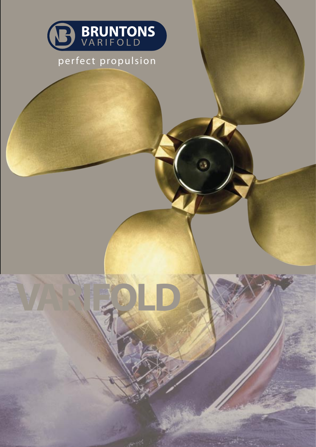

## perfect propulsion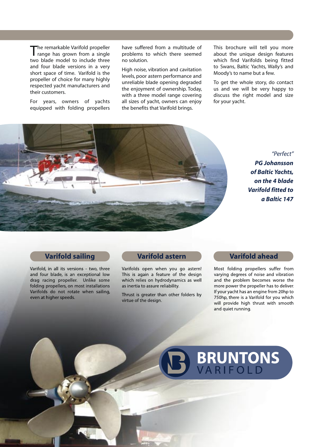The remarkable Varifold propeller<br>
range has grown from a single two blade model to include three and four blade versions in a very short space of time. Varifold is the propeller of choice for many highly respected yacht manufacturers and their customers.

For years, owners of yachts equipped with folding propellers

have suffered from a multitude of problems to which there seemed no solution.

High noise, vibration and cavitation levels, poor astern performance and unreliable blade opening degraded the enjoyment of ownership. Today, with a three model range covering all sizes of yacht, owners can enjoy the benefits that Varifold brings.

This brochure will tell you more about the unique design features which find Varifolds being fitted to Swans, Baltic Yachts, Wally's and Moody's to name but a few.

To get the whole story, do contact us and we will be very happy to discuss the right model and size for your yacht.



*"Perfect" PG Johansson of Baltic Yachts, on the 4 blade Varifold fitted to a Baltic 147*

### **Varifold sailing**

Varifold, in all its versions - two, three and four blade, is an exceptional low drag racing propeller. Unlike some folding propellers, on most installations Varifolds do not rotate when sailing, even at higher speeds.

## **Varifold astern**

Varifolds open when you go astern! This is again a feature of the design which relies on hydrodynamics as well as inertia to assure reliability.

Thrust is greater than other folders by virtue of the design.

## **Varifold ahead**

Most folding propellers suffer from varying degrees of noise and vibration and the problem becomes worse the more power the propeller has to deliver. If your yacht has an engine from 20hp to 750hp, there is a Varifold for you which will provide high thrust with smooth and quiet running.

# **BRUNTONS**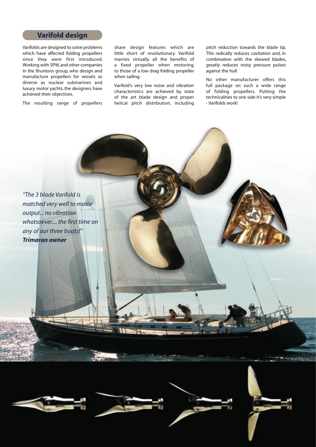### **Varifold design**

Varifolds are designed to solve problems which have affected folding propellers since they were first introduced. Working with SPW, and other companies in the Bruntons group, who design and manufacture propellers for vessels as diverse as nuclear submarines and luxury motor yachts, the designers have achieved their objectives.

The resulting range of propellers

share design features which are little short of revolutionary. Varifold marries virtually all the benefits of a fixed propeller when motoring, to those of a low drag folding propeller when sailing.

Varifold's very low noise and vibration characteristics are achieved by state of the art blade design and proper helical pitch distribution, including

pitch reduction towards the blade tip. This radically reduces cavitation and, in combination with the skewed blades, greatly reduces noisy pressure pulses against the hull.

No other manufacturer offers this full package on such a wide range of folding propellers. Putting the technicalities to one side it's very simple - Varifolds work!

*"The 3 blade Varifold is matched very well to motor output... no vibration whatsoever.... the first time on any of our three boats!" Trimaran owner*